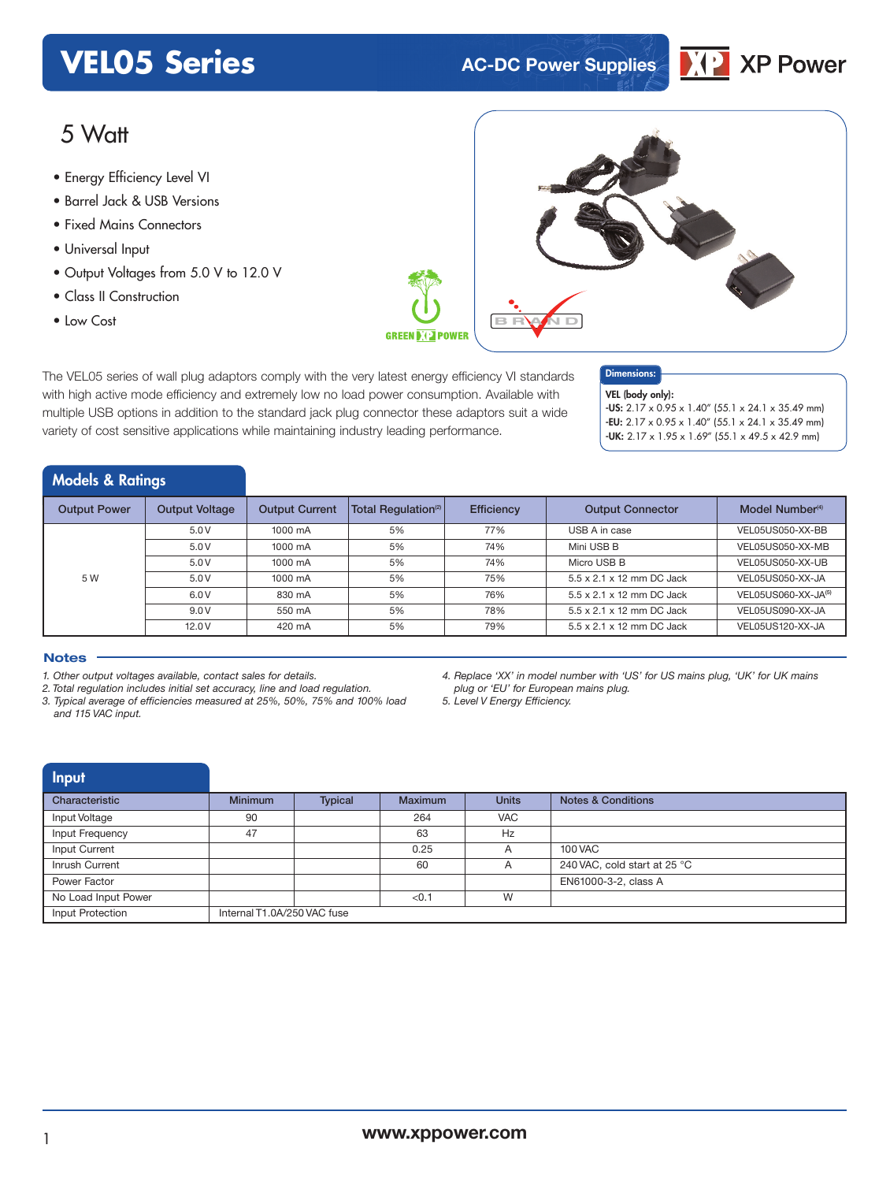## **VEL05 Series AC-DC** Power Supplies



## 5 Watt

- **xxx Series** Energy Efficiency Level VI
- Barrel Jack & USB Versions
- Fixed Mains Connectors
- Universal Input
- Output Voltages from 5.0 V to 12.0 V
- Class II Construction
- 



The VEL05 series of wall plug adaptors comply with the very latest energy efficiency VI standards with high active mode efficiency and extremely low no load power consumption. Available with multiple USB options in addition to the standard jack plug connector these adaptors suit a wide variety of cost sensitive applications while maintaining industry leading performance.

Dimensions:

VEL (body only):

-US: 2.17 x 0.95 x 1.40" (55.1 x 24.1 x 35.49 mm) -EU: 2.17 x 0.95 x 1.40" (55.1 x 24.1 x 35.49 mm)  $-UK: 2.17 \times 1.95 \times 1.69''$  (55.1 x 49.5 x 42.9 mm)

### Models & Ratings

| <b>Output Power</b> | <b>Output Voltage</b> | <b>Output Current</b> | Total Regulation <sup>(2)</sup> | <b>Efficiency</b> | <b>Output Connector</b>   | Model Number <sup>(4)</sup> |
|---------------------|-----------------------|-----------------------|---------------------------------|-------------------|---------------------------|-----------------------------|
|                     | 5.0V                  | 1000 mA               | 5%                              | 77%               | USB A in case             | VEL05US050-XX-BB            |
|                     | 5.0V                  | 1000 mA               | 5%                              | 74%               | Mini USB B                | VEL05US050-XX-MB            |
|                     | 5.0V                  | 1000 mA               | 5%                              | 74%               | Micro USB B               | VEL05US050-XX-UB            |
| 5 W                 | 5.0V                  | 1000 mA               | 5%                              | 75%               | 5.5 x 2.1 x 12 mm DC Jack | VEL05US050-XX-JA            |
|                     | 6.0V                  | 830 mA                | 5%                              | 76%               | 5.5 x 2.1 x 12 mm DC Jack | VEL05US060-XX-JA(5)         |
|                     | 9.0V                  | 550 mA                | 5%                              | 78%               | 5.5 x 2.1 x 12 mm DC Jack | VEL05US090-XX-JA            |
|                     | 12.0V                 | 420 mA                | 5%                              | 79%               | 5.5 x 2.1 x 12 mm DC Jack | VEL05US120-XX-JA            |

#### **Notes**

- *4. Replace 'XX' in model number with 'US' for US mains plug, 'UK' for UK mains plug or 'EU' for European mains plug.*
- *5. Level V Energy Efficiency.*

| Input               |                             |         |                |              |                               |
|---------------------|-----------------------------|---------|----------------|--------------|-------------------------------|
| Characteristic      | <b>Minimum</b>              | Typical | <b>Maximum</b> | <b>Units</b> | <b>Notes &amp; Conditions</b> |
| Input Voltage       | 90                          |         | 264            | <b>VAC</b>   |                               |
| Input Frequency     | 47                          |         | 63             | Hz           |                               |
| Input Current       |                             |         | 0.25           | A            | 100 VAC                       |
| Inrush Current      |                             |         | 60             | A            | 240 VAC, cold start at 25 °C  |
| Power Factor        |                             |         |                |              | EN61000-3-2, class A          |
| No Load Input Power |                             |         | < 0.1          | W            |                               |
| Input Protection    | Internal T1.0A/250 VAC fuse |         |                |              |                               |

*<sup>1.</sup> Other output voltages available, contact sales for details.*

*<sup>2.</sup> Total regulation includes initial set accuracy, line and load regulation.*

*<sup>3.</sup> Typical average of efficiencies measured at 25%, 50%, 75% and 100% load and 115 VAC input.*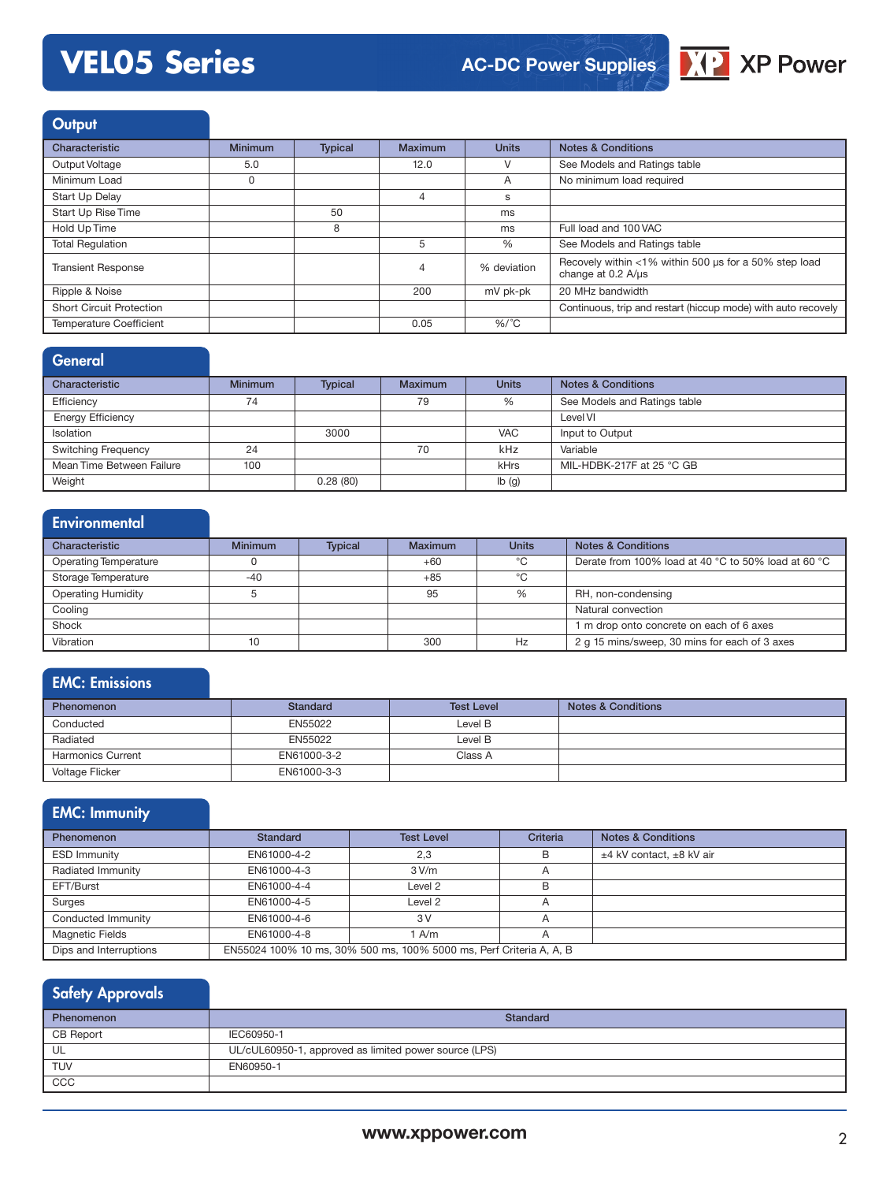

## **Output**

| Characteristic                  | <b>Minimum</b> | <b>Typical</b> | Maximum | <b>Units</b>    | <b>Notes &amp; Conditions</b>                                                                  |
|---------------------------------|----------------|----------------|---------|-----------------|------------------------------------------------------------------------------------------------|
| Output Voltage                  | 5.0            |                | 12.0    |                 | See Models and Ratings table                                                                   |
| Minimum Load                    | 0              |                |         | A               | No minimum load required                                                                       |
| Start Up Delay                  |                |                |         | S               |                                                                                                |
| Start Up Rise Time              |                | 50             |         | ms              |                                                                                                |
| Hold Up Time                    |                | 8              |         | ms              | Full load and 100 VAC                                                                          |
| <b>Total Requlation</b>         |                |                | 5       | $\%$            | See Models and Ratings table                                                                   |
| <b>Transient Response</b>       |                |                | 4       | % deviation     | Recovely within <1% within 500 us for a 50% step load<br>change at $0.2 \text{ A/}\mu\text{s}$ |
| Ripple & Noise                  |                |                | 200     | mV pk-pk        | 20 MHz bandwidth                                                                               |
| <b>Short Circuit Protection</b> |                |                |         |                 | Continuous, trip and restart (hiccup mode) with auto recovely                                  |
| <b>Temperature Coefficient</b>  |                |                | 0.05    | %/ $^{\circ}$ C |                                                                                                |

### General

| Characteristic             | <b>Minimum</b> | <b>Typical</b> | Maximum | <b>Units</b> | <b>Notes &amp; Conditions</b> |
|----------------------------|----------------|----------------|---------|--------------|-------------------------------|
| Efficiency                 | 74             |                | 79      | %            | See Models and Ratings table  |
| <b>Energy Efficiency</b>   |                |                |         |              | Level VI                      |
| Isolation                  |                | 3000           |         | <b>VAC</b>   | Input to Output               |
| <b>Switching Frequency</b> | 24             |                | 70      | kHz          | Variable                      |
| Mean Time Between Failure  | 100            |                |         | kHrs         | MIL-HDBK-217F at 25 °C GB     |
| Weight                     |                | 0.28(80)       |         | Ib(g)        |                               |

## **Environmental**

| Characteristic               | <b>Minimum</b> | <b>Typical</b> | <b>Maximum</b> | <b>Units</b> | <b>Notes &amp; Conditions</b>                       |
|------------------------------|----------------|----------------|----------------|--------------|-----------------------------------------------------|
|                              |                |                |                |              |                                                     |
| <b>Operating Temperature</b> |                |                | $+60$          | °C           | Derate from 100% load at 40 °C to 50% load at 60 °C |
| Storage Temperature          | $-40$          |                | $+85$          | ℃            |                                                     |
| <b>Operating Humidity</b>    |                |                | 95             | %            | RH, non-condensing                                  |
| Cooling                      |                |                |                |              | Natural convection                                  |
| Shock                        |                |                |                |              | 1 m drop onto concrete on each of 6 axes            |
| Vibration                    |                |                | 300            | Hz           | 2 g 15 mins/sweep, 30 mins for each of 3 axes       |

## EMC: Emissions

| <b>Phenomenon</b>        | Standard    | <b>Test Level</b> | <b>Notes &amp; Conditions</b> |
|--------------------------|-------------|-------------------|-------------------------------|
| Conducted                | EN55022     | Level B           |                               |
| Radiated                 | EN55022     | Level B           |                               |
| <b>Harmonics Current</b> | EN61000-3-2 | Class A           |                               |
| Voltage Flicker          | EN61000-3-3 |                   |                               |

## EMC: Immunity

| <b>Phenomenon</b>      | <b>Standard</b>                                                     | <b>Test Level</b> | Criteria       | <b>Notes &amp; Conditions</b> |  |
|------------------------|---------------------------------------------------------------------|-------------------|----------------|-------------------------------|--|
| <b>ESD Immunity</b>    | EN61000-4-2                                                         | 2.3               | B              | ±4 kV contact. ±8 kV air      |  |
| Radiated Immunity      | EN61000-4-3                                                         | 3 V/m             |                |                               |  |
| EFT/Burst              | EN61000-4-4                                                         | Level 2           | B              |                               |  |
| Surges                 | EN61000-4-5                                                         | Level 2           | $\overline{A}$ |                               |  |
| Conducted Immunity     | EN61000-4-6                                                         | 3V                |                |                               |  |
| <b>Magnetic Fields</b> | EN61000-4-8                                                         | A/m               | $\overline{A}$ |                               |  |
| Dips and Interruptions | EN55024 100% 10 ms, 30% 500 ms, 100% 5000 ms, Perf Criteria A, A, B |                   |                |                               |  |

## Safety Approvals

| Phenomenon | Standard                                              |  |  |  |
|------------|-------------------------------------------------------|--|--|--|
| CB Report  | IEC60950-1                                            |  |  |  |
| UL         | UL/cUL60950-1, approved as limited power source (LPS) |  |  |  |
| <b>TUV</b> | EN60950-1                                             |  |  |  |
| CCC        |                                                       |  |  |  |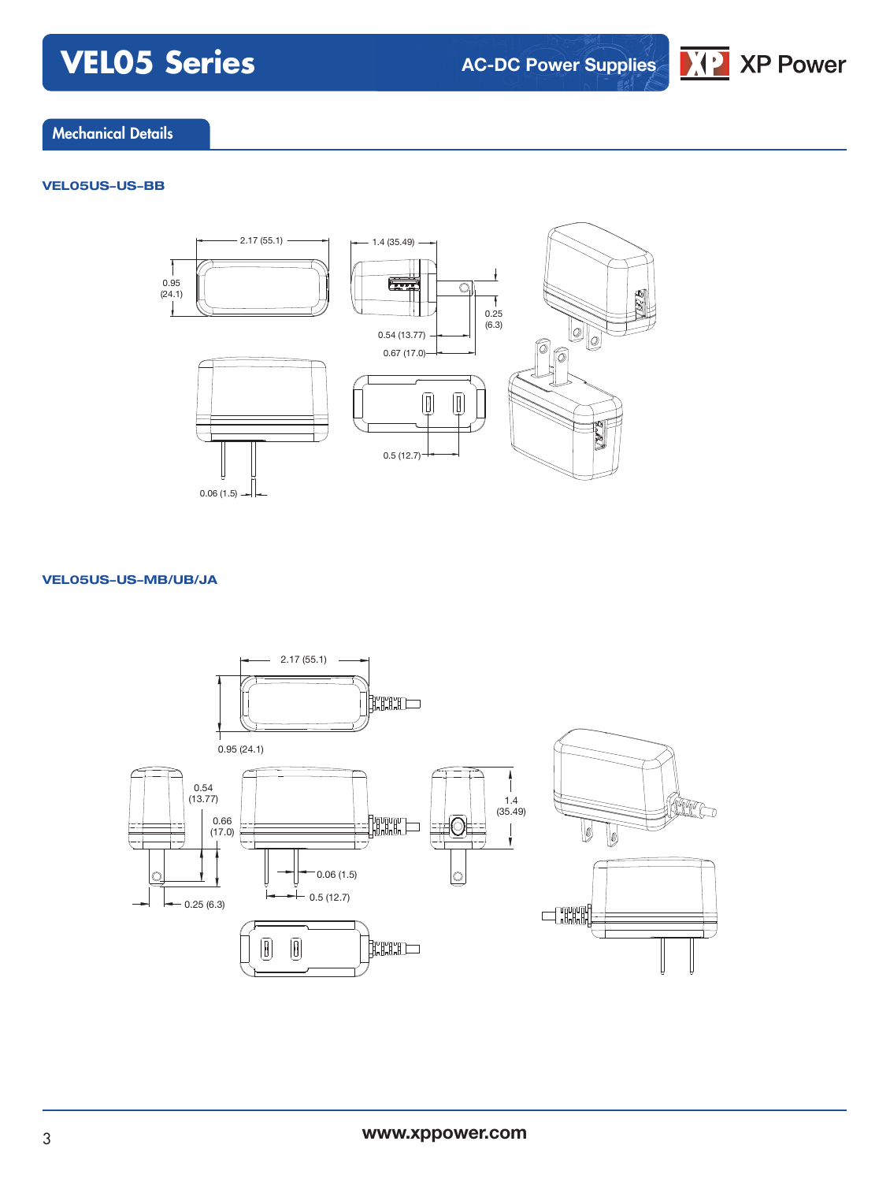**AC-DC Power Supplies**



### Mechanical Details

#### **VEL05US-US-BB**



#### **VEL05US-US-MB/UB/JA**

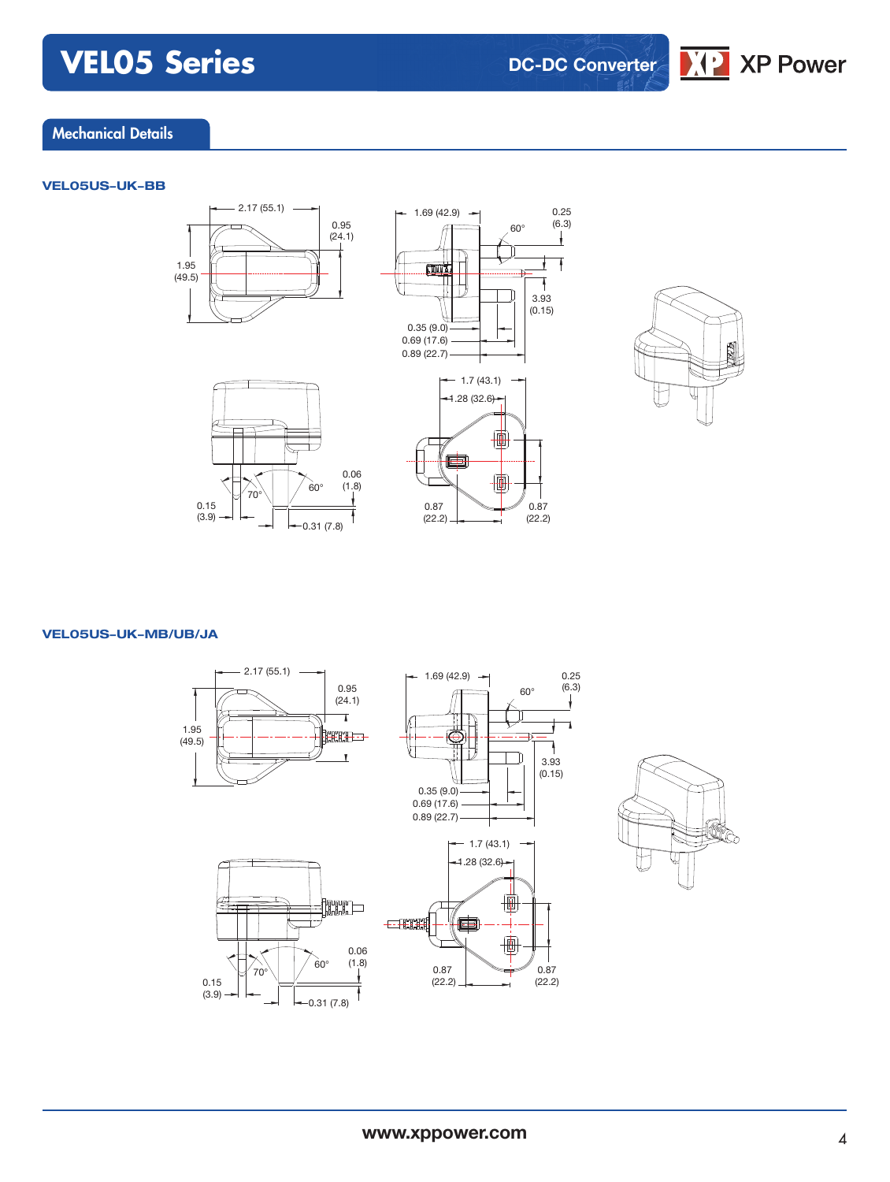## **DC-DC Converter**



### Mechanical Details

#### **VEL05US-UK-BB**











#### **VEL05US-UK-MB/UB/JA**





0.87 (22.2)

3.93  $(0.15)$ 

0.25 (6.3)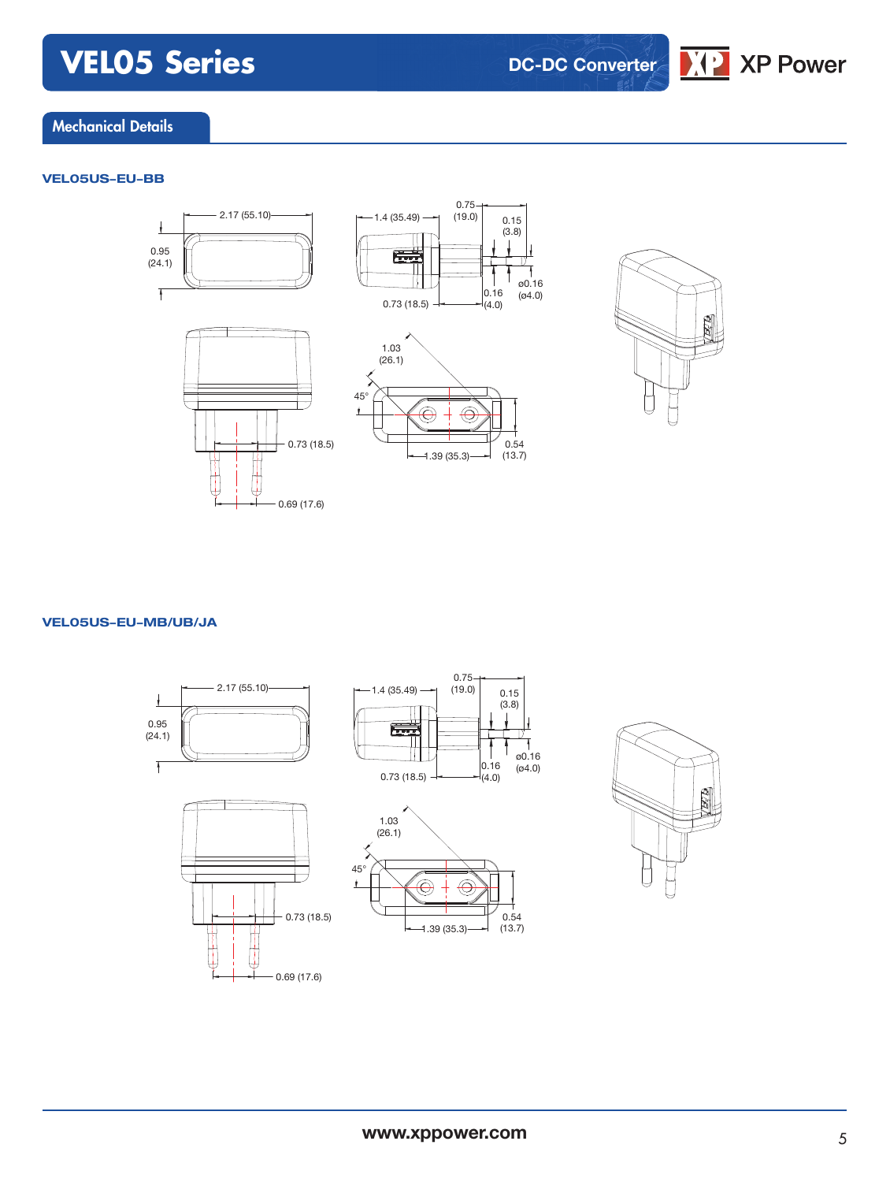**DC-DC Converter**

 $\sqrt{2}$  XP Power

### Mechanical Details

#### **VEL05US-EU-BB**





#### **VEL05US-EU-MB/UB/JA**





 $0.16$  $(4.0)$ 

0.15 (3.8)

0.54 (13.7)

ø0.16 (ø4.0)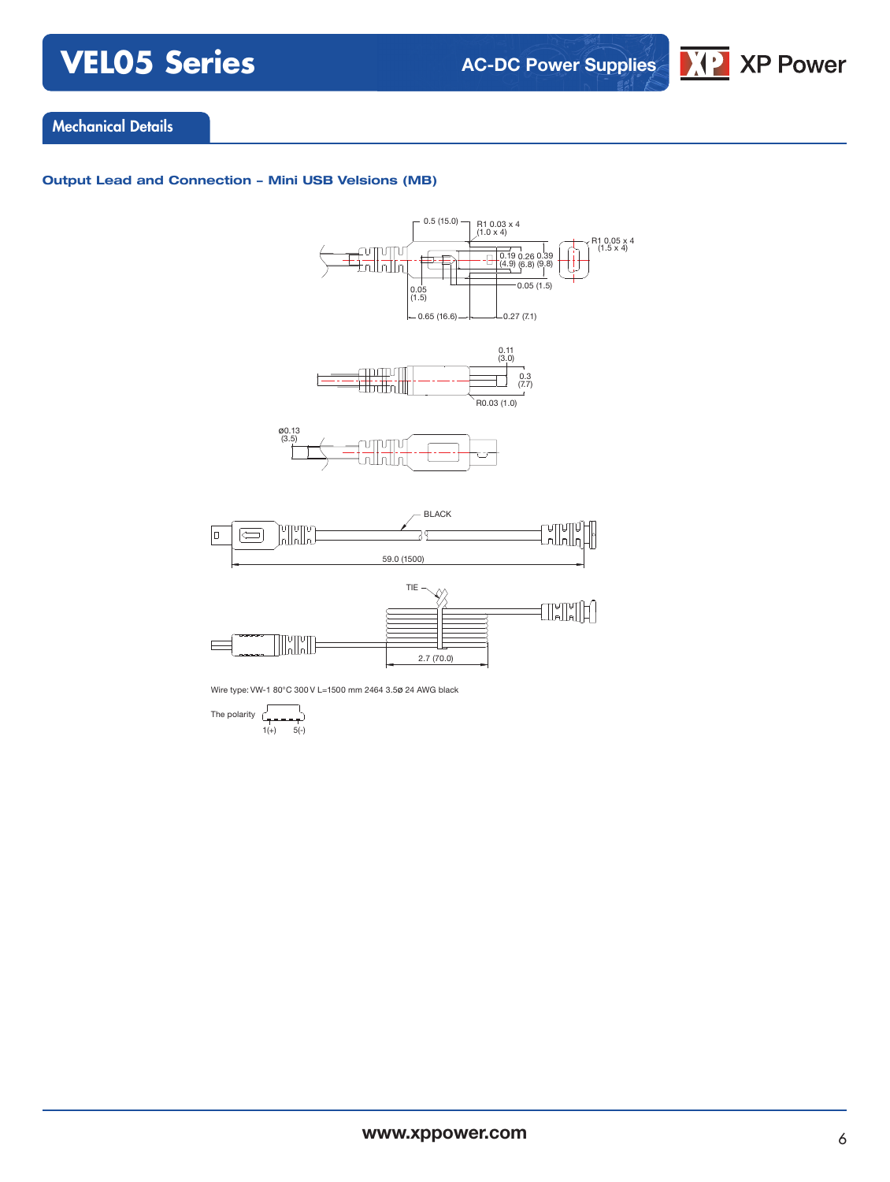**AC-DC Power Supplies**



## Mechanical Details

#### **Output Lead and Connection - Mini USB Velsions (MB)**



Wire type: VW-1 80°C 300 V L=1500 mm 2464 3.5ø 24 AWG black